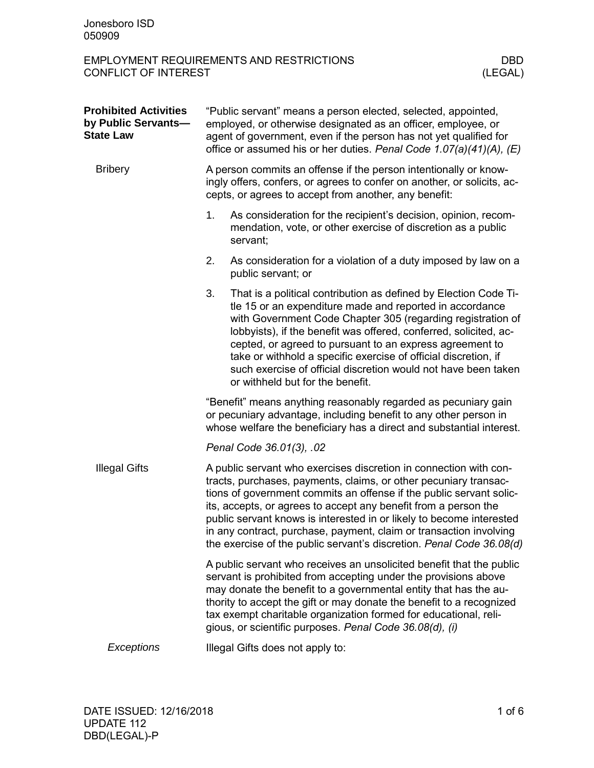| <b>Prohibited Activities</b><br>by Public Servants-<br><b>State Law</b> | "Public servant" means a person elected, selected, appointed,<br>employed, or otherwise designated as an officer, employee, or<br>agent of government, even if the person has not yet qualified for<br>office or assumed his or her duties. Penal Code 1.07(a)(41)(A), (E)                                                                                                                                                                                                                            |                                                                                                                                                                                                                                                                                                                                                                                                                                                                                                       |  |  |
|-------------------------------------------------------------------------|-------------------------------------------------------------------------------------------------------------------------------------------------------------------------------------------------------------------------------------------------------------------------------------------------------------------------------------------------------------------------------------------------------------------------------------------------------------------------------------------------------|-------------------------------------------------------------------------------------------------------------------------------------------------------------------------------------------------------------------------------------------------------------------------------------------------------------------------------------------------------------------------------------------------------------------------------------------------------------------------------------------------------|--|--|
| <b>Bribery</b>                                                          | A person commits an offense if the person intentionally or know-<br>ingly offers, confers, or agrees to confer on another, or solicits, ac-<br>cepts, or agrees to accept from another, any benefit:                                                                                                                                                                                                                                                                                                  |                                                                                                                                                                                                                                                                                                                                                                                                                                                                                                       |  |  |
|                                                                         | 1.                                                                                                                                                                                                                                                                                                                                                                                                                                                                                                    | As consideration for the recipient's decision, opinion, recom-<br>mendation, vote, or other exercise of discretion as a public<br>servant;                                                                                                                                                                                                                                                                                                                                                            |  |  |
|                                                                         | 2.                                                                                                                                                                                                                                                                                                                                                                                                                                                                                                    | As consideration for a violation of a duty imposed by law on a<br>public servant; or                                                                                                                                                                                                                                                                                                                                                                                                                  |  |  |
|                                                                         | 3.                                                                                                                                                                                                                                                                                                                                                                                                                                                                                                    | That is a political contribution as defined by Election Code Ti-<br>tle 15 or an expenditure made and reported in accordance<br>with Government Code Chapter 305 (regarding registration of<br>lobbyists), if the benefit was offered, conferred, solicited, ac-<br>cepted, or agreed to pursuant to an express agreement to<br>take or withhold a specific exercise of official discretion, if<br>such exercise of official discretion would not have been taken<br>or withheld but for the benefit. |  |  |
|                                                                         | "Benefit" means anything reasonably regarded as pecuniary gain<br>or pecuniary advantage, including benefit to any other person in<br>whose welfare the beneficiary has a direct and substantial interest.                                                                                                                                                                                                                                                                                            |                                                                                                                                                                                                                                                                                                                                                                                                                                                                                                       |  |  |
|                                                                         |                                                                                                                                                                                                                                                                                                                                                                                                                                                                                                       | Penal Code 36.01(3), .02                                                                                                                                                                                                                                                                                                                                                                                                                                                                              |  |  |
| <b>Illegal Gifts</b>                                                    | A public servant who exercises discretion in connection with con-<br>tracts, purchases, payments, claims, or other pecuniary transac-<br>tions of government commits an offense if the public servant solic-<br>its, accepts, or agrees to accept any benefit from a person the<br>public servant knows is interested in or likely to become interested<br>in any contract, purchase, payment, claim or transaction involving<br>the exercise of the public servant's discretion. Penal Code 36.08(d) |                                                                                                                                                                                                                                                                                                                                                                                                                                                                                                       |  |  |
|                                                                         | A public servant who receives an unsolicited benefit that the public<br>servant is prohibited from accepting under the provisions above<br>may donate the benefit to a governmental entity that has the au-<br>thority to accept the gift or may donate the benefit to a recognized<br>tax exempt charitable organization formed for educational, reli-<br>gious, or scientific purposes. Penal Code 36.08(d), (i)                                                                                    |                                                                                                                                                                                                                                                                                                                                                                                                                                                                                                       |  |  |
| Exceptions                                                              | Illegal Gifts does not apply to:                                                                                                                                                                                                                                                                                                                                                                                                                                                                      |                                                                                                                                                                                                                                                                                                                                                                                                                                                                                                       |  |  |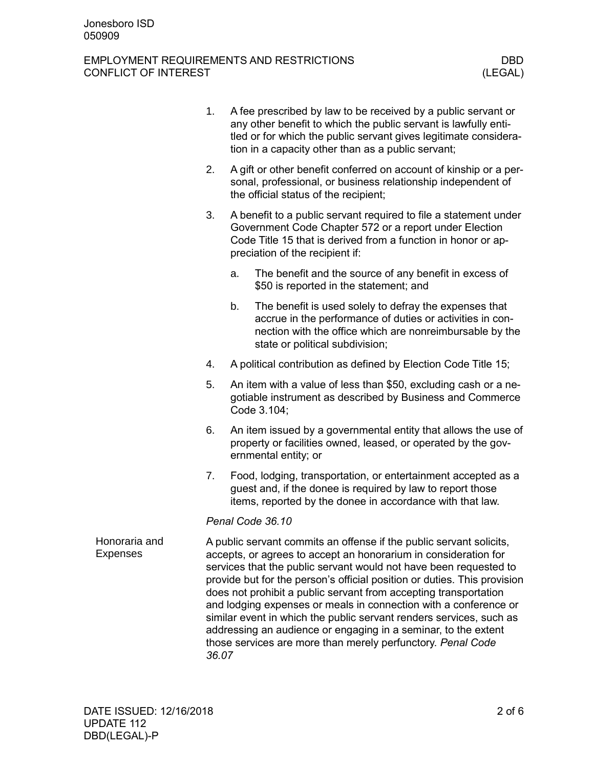|                                  | 1. | A fee prescribed by law to be received by a public servant or<br>any other benefit to which the public servant is lawfully enti-<br>tled or for which the public servant gives legitimate considera-<br>tion in a capacity other than as a public servant;                                                                                                                                                                                                                                                                                                                                                                                       |                                                                                                                                                                                                                                |  |  |
|----------------------------------|----|--------------------------------------------------------------------------------------------------------------------------------------------------------------------------------------------------------------------------------------------------------------------------------------------------------------------------------------------------------------------------------------------------------------------------------------------------------------------------------------------------------------------------------------------------------------------------------------------------------------------------------------------------|--------------------------------------------------------------------------------------------------------------------------------------------------------------------------------------------------------------------------------|--|--|
|                                  | 2. | A gift or other benefit conferred on account of kinship or a per-<br>sonal, professional, or business relationship independent of<br>the official status of the recipient;                                                                                                                                                                                                                                                                                                                                                                                                                                                                       |                                                                                                                                                                                                                                |  |  |
|                                  | 3. |                                                                                                                                                                                                                                                                                                                                                                                                                                                                                                                                                                                                                                                  | A benefit to a public servant required to file a statement under<br>Government Code Chapter 572 or a report under Election<br>Code Title 15 that is derived from a function in honor or ap-<br>preciation of the recipient if: |  |  |
|                                  |    | a.                                                                                                                                                                                                                                                                                                                                                                                                                                                                                                                                                                                                                                               | The benefit and the source of any benefit in excess of<br>\$50 is reported in the statement; and                                                                                                                               |  |  |
|                                  |    | b.                                                                                                                                                                                                                                                                                                                                                                                                                                                                                                                                                                                                                                               | The benefit is used solely to defray the expenses that<br>accrue in the performance of duties or activities in con-<br>nection with the office which are nonreimbursable by the<br>state or political subdivision;             |  |  |
|                                  | 4. |                                                                                                                                                                                                                                                                                                                                                                                                                                                                                                                                                                                                                                                  | A political contribution as defined by Election Code Title 15;                                                                                                                                                                 |  |  |
|                                  | 5. | An item with a value of less than \$50, excluding cash or a ne-<br>gotiable instrument as described by Business and Commerce<br>Code 3.104;                                                                                                                                                                                                                                                                                                                                                                                                                                                                                                      |                                                                                                                                                                                                                                |  |  |
|                                  | 6. |                                                                                                                                                                                                                                                                                                                                                                                                                                                                                                                                                                                                                                                  | An item issued by a governmental entity that allows the use of<br>property or facilities owned, leased, or operated by the gov-<br>ernmental entity; or                                                                        |  |  |
|                                  | 7. |                                                                                                                                                                                                                                                                                                                                                                                                                                                                                                                                                                                                                                                  | Food, lodging, transportation, or entertainment accepted as a<br>guest and, if the donee is required by law to report those<br>items, reported by the donee in accordance with that law.                                       |  |  |
|                                  |    |                                                                                                                                                                                                                                                                                                                                                                                                                                                                                                                                                                                                                                                  | Penal Code 36.10                                                                                                                                                                                                               |  |  |
| Honoraria and<br><b>Expenses</b> |    | A public servant commits an offense if the public servant solicits,<br>accepts, or agrees to accept an honorarium in consideration for<br>services that the public servant would not have been requested to<br>provide but for the person's official position or duties. This provision<br>does not prohibit a public servant from accepting transportation<br>and lodging expenses or meals in connection with a conference or<br>similar event in which the public servant renders services, such as<br>addressing an audience or engaging in a seminar, to the extent<br>those services are more than merely perfunctory. Penal Code<br>36.07 |                                                                                                                                                                                                                                |  |  |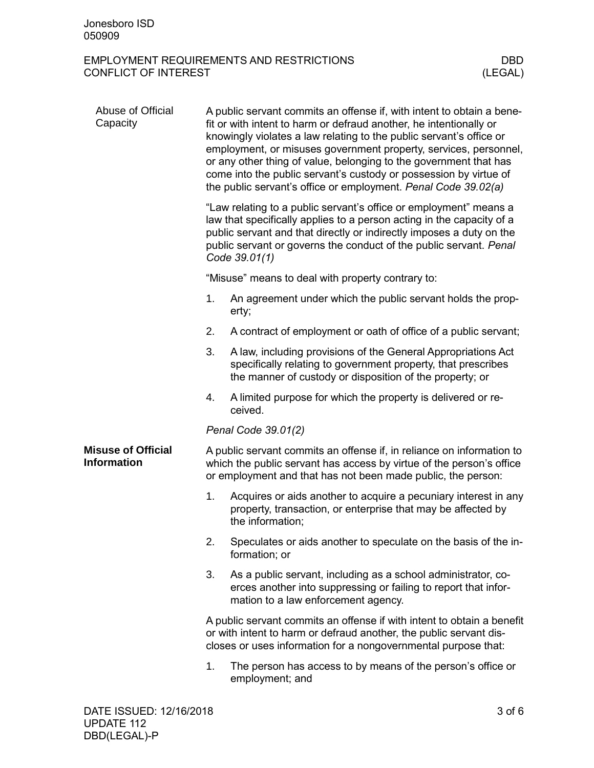| Abuse of Official<br>Capacity                   | A public servant commits an offense if, with intent to obtain a bene-<br>fit or with intent to harm or defraud another, he intentionally or<br>knowingly violates a law relating to the public servant's office or<br>employment, or misuses government property, services, personnel,<br>or any other thing of value, belonging to the government that has<br>come into the public servant's custody or possession by virtue of<br>the public servant's office or employment. Penal Code 39.02(a) |                                                                                                                                                                                                                |  |  |  |
|-------------------------------------------------|----------------------------------------------------------------------------------------------------------------------------------------------------------------------------------------------------------------------------------------------------------------------------------------------------------------------------------------------------------------------------------------------------------------------------------------------------------------------------------------------------|----------------------------------------------------------------------------------------------------------------------------------------------------------------------------------------------------------------|--|--|--|
|                                                 | "Law relating to a public servant's office or employment" means a<br>law that specifically applies to a person acting in the capacity of a<br>public servant and that directly or indirectly imposes a duty on the<br>public servant or governs the conduct of the public servant. Penal<br>Code 39.01(1)                                                                                                                                                                                          |                                                                                                                                                                                                                |  |  |  |
|                                                 |                                                                                                                                                                                                                                                                                                                                                                                                                                                                                                    | "Misuse" means to deal with property contrary to:                                                                                                                                                              |  |  |  |
|                                                 | 1.                                                                                                                                                                                                                                                                                                                                                                                                                                                                                                 | An agreement under which the public servant holds the prop-<br>erty;                                                                                                                                           |  |  |  |
|                                                 | 2.                                                                                                                                                                                                                                                                                                                                                                                                                                                                                                 | A contract of employment or oath of office of a public servant;                                                                                                                                                |  |  |  |
|                                                 | 3.                                                                                                                                                                                                                                                                                                                                                                                                                                                                                                 | A law, including provisions of the General Appropriations Act<br>specifically relating to government property, that prescribes<br>the manner of custody or disposition of the property; or                     |  |  |  |
|                                                 | 4.                                                                                                                                                                                                                                                                                                                                                                                                                                                                                                 | A limited purpose for which the property is delivered or re-<br>ceived.                                                                                                                                        |  |  |  |
|                                                 |                                                                                                                                                                                                                                                                                                                                                                                                                                                                                                    | Penal Code 39.01(2)                                                                                                                                                                                            |  |  |  |
| <b>Misuse of Official</b><br><b>Information</b> |                                                                                                                                                                                                                                                                                                                                                                                                                                                                                                    | A public servant commits an offense if, in reliance on information to<br>which the public servant has access by virtue of the person's office<br>or employment and that has not been made public, the person:  |  |  |  |
|                                                 | 1.                                                                                                                                                                                                                                                                                                                                                                                                                                                                                                 | Acquires or aids another to acquire a pecuniary interest in any<br>property, transaction, or enterprise that may be affected by<br>the information;                                                            |  |  |  |
|                                                 | 2.                                                                                                                                                                                                                                                                                                                                                                                                                                                                                                 | Speculates or aids another to speculate on the basis of the in-<br>formation; or                                                                                                                               |  |  |  |
|                                                 | 3.                                                                                                                                                                                                                                                                                                                                                                                                                                                                                                 | As a public servant, including as a school administrator, co-<br>erces another into suppressing or failing to report that infor-<br>mation to a law enforcement agency.                                        |  |  |  |
|                                                 |                                                                                                                                                                                                                                                                                                                                                                                                                                                                                                    | A public servant commits an offense if with intent to obtain a benefit<br>or with intent to harm or defraud another, the public servant dis-<br>closes or uses information for a nongovernmental purpose that: |  |  |  |
|                                                 | 1.                                                                                                                                                                                                                                                                                                                                                                                                                                                                                                 | The person has access to by means of the person's office or<br>employment; and                                                                                                                                 |  |  |  |
|                                                 |                                                                                                                                                                                                                                                                                                                                                                                                                                                                                                    |                                                                                                                                                                                                                |  |  |  |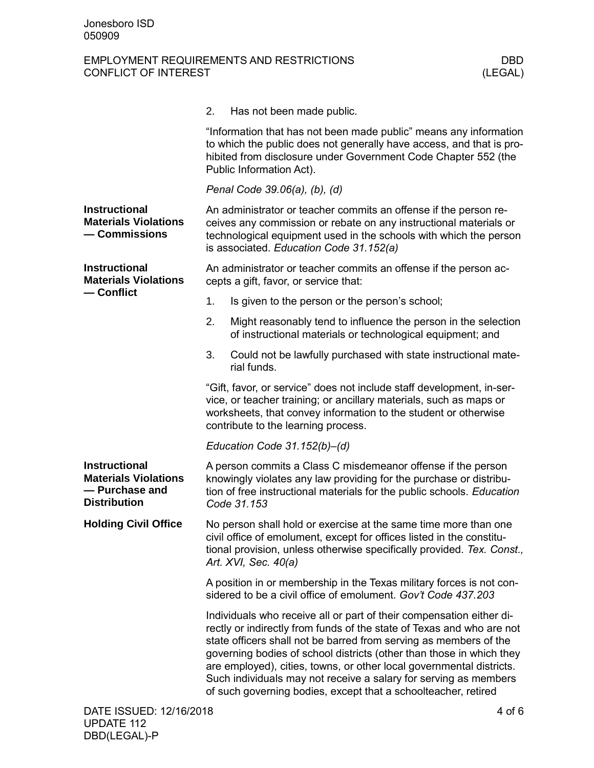|                                                                                              | 2.<br>Has not been made public.                                                                                                                                                                                                                                                                                                                                                                                                                                                                          |  |  |
|----------------------------------------------------------------------------------------------|----------------------------------------------------------------------------------------------------------------------------------------------------------------------------------------------------------------------------------------------------------------------------------------------------------------------------------------------------------------------------------------------------------------------------------------------------------------------------------------------------------|--|--|
|                                                                                              | "Information that has not been made public" means any information<br>to which the public does not generally have access, and that is pro-<br>hibited from disclosure under Government Code Chapter 552 (the<br>Public Information Act).                                                                                                                                                                                                                                                                  |  |  |
|                                                                                              | Penal Code 39.06(a), (b), (d)                                                                                                                                                                                                                                                                                                                                                                                                                                                                            |  |  |
| <b>Instructional</b><br><b>Materials Violations</b><br>- Commissions                         | An administrator or teacher commits an offense if the person re-<br>ceives any commission or rebate on any instructional materials or<br>technological equipment used in the schools with which the person<br>is associated. Education Code 31.152(a)                                                                                                                                                                                                                                                    |  |  |
| <b>Instructional</b><br><b>Materials Violations</b>                                          | An administrator or teacher commits an offense if the person ac-<br>cepts a gift, favor, or service that:                                                                                                                                                                                                                                                                                                                                                                                                |  |  |
| — Conflict                                                                                   | 1.<br>Is given to the person or the person's school;                                                                                                                                                                                                                                                                                                                                                                                                                                                     |  |  |
|                                                                                              | Might reasonably tend to influence the person in the selection<br>2.<br>of instructional materials or technological equipment; and                                                                                                                                                                                                                                                                                                                                                                       |  |  |
|                                                                                              | 3.<br>Could not be lawfully purchased with state instructional mate-<br>rial funds.                                                                                                                                                                                                                                                                                                                                                                                                                      |  |  |
|                                                                                              | "Gift, favor, or service" does not include staff development, in-ser-<br>vice, or teacher training; or ancillary materials, such as maps or<br>worksheets, that convey information to the student or otherwise<br>contribute to the learning process.                                                                                                                                                                                                                                                    |  |  |
|                                                                                              | Education Code $31.152(b) - (d)$                                                                                                                                                                                                                                                                                                                                                                                                                                                                         |  |  |
| <b>Instructional</b><br><b>Materials Violations</b><br>- Purchase and<br><b>Distribution</b> | A person commits a Class C misdemeanor offense if the person<br>knowingly violates any law providing for the purchase or distribu-<br>tion of free instructional materials for the public schools. Education<br>Code 31.153                                                                                                                                                                                                                                                                              |  |  |
| <b>Holding Civil Office</b>                                                                  | No person shall hold or exercise at the same time more than one<br>civil office of emolument, except for offices listed in the constitu-<br>tional provision, unless otherwise specifically provided. Tex. Const.,<br>Art. XVI, Sec. 40(a)                                                                                                                                                                                                                                                               |  |  |
|                                                                                              | A position in or membership in the Texas military forces is not con-<br>sidered to be a civil office of emolument. Gov't Code 437.203                                                                                                                                                                                                                                                                                                                                                                    |  |  |
|                                                                                              | Individuals who receive all or part of their compensation either di-<br>rectly or indirectly from funds of the state of Texas and who are not<br>state officers shall not be barred from serving as members of the<br>governing bodies of school districts (other than those in which they<br>are employed), cities, towns, or other local governmental districts.<br>Such individuals may not receive a salary for serving as members<br>of such governing bodies, except that a schoolteacher, retired |  |  |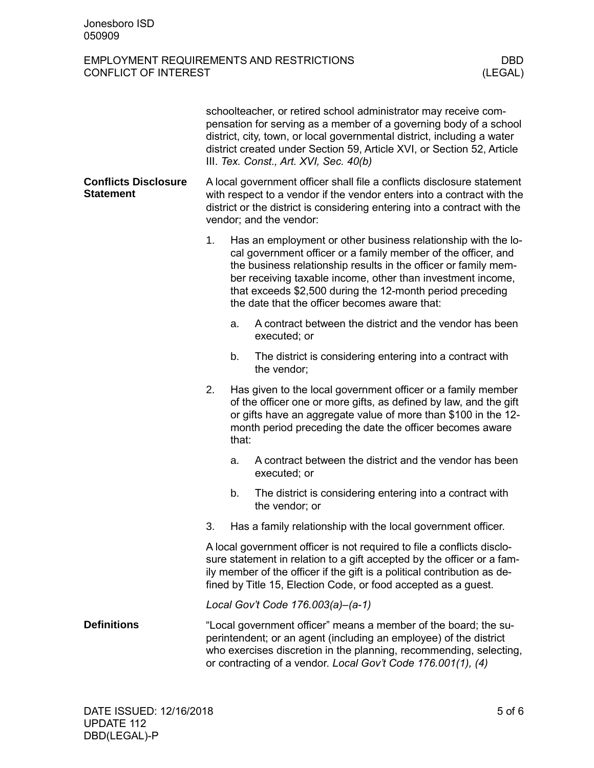|                                                 | schoolteacher, or retired school administrator may receive com-<br>pensation for serving as a member of a governing body of a school<br>district, city, town, or local governmental district, including a water<br>district created under Section 59, Article XVI, or Section 52, Article<br>III. Tex. Const., Art. XVI, Sec. 40(b) |       |                                                                                                                                                                                                                                                                                                                                                                                |  |
|-------------------------------------------------|-------------------------------------------------------------------------------------------------------------------------------------------------------------------------------------------------------------------------------------------------------------------------------------------------------------------------------------|-------|--------------------------------------------------------------------------------------------------------------------------------------------------------------------------------------------------------------------------------------------------------------------------------------------------------------------------------------------------------------------------------|--|
| <b>Conflicts Disclosure</b><br><b>Statement</b> | A local government officer shall file a conflicts disclosure statement<br>with respect to a vendor if the vendor enters into a contract with the<br>district or the district is considering entering into a contract with the<br>vendor; and the vendor:                                                                            |       |                                                                                                                                                                                                                                                                                                                                                                                |  |
|                                                 | 1.                                                                                                                                                                                                                                                                                                                                  |       | Has an employment or other business relationship with the lo-<br>cal government officer or a family member of the officer, and<br>the business relationship results in the officer or family mem-<br>ber receiving taxable income, other than investment income,<br>that exceeds \$2,500 during the 12-month period preceding<br>the date that the officer becomes aware that: |  |
|                                                 |                                                                                                                                                                                                                                                                                                                                     | a.    | A contract between the district and the vendor has been<br>executed; or                                                                                                                                                                                                                                                                                                        |  |
|                                                 |                                                                                                                                                                                                                                                                                                                                     | b.    | The district is considering entering into a contract with<br>the vendor;                                                                                                                                                                                                                                                                                                       |  |
|                                                 | 2.                                                                                                                                                                                                                                                                                                                                  | that: | Has given to the local government officer or a family member<br>of the officer one or more gifts, as defined by law, and the gift<br>or gifts have an aggregate value of more than \$100 in the 12-<br>month period preceding the date the officer becomes aware                                                                                                               |  |
|                                                 |                                                                                                                                                                                                                                                                                                                                     | a.    | A contract between the district and the vendor has been<br>executed; or                                                                                                                                                                                                                                                                                                        |  |
|                                                 |                                                                                                                                                                                                                                                                                                                                     | b.    | The district is considering entering into a contract with<br>the vendor; or                                                                                                                                                                                                                                                                                                    |  |
|                                                 | 3.                                                                                                                                                                                                                                                                                                                                  |       | Has a family relationship with the local government officer.                                                                                                                                                                                                                                                                                                                   |  |
|                                                 | A local government officer is not required to file a conflicts disclo-<br>sure statement in relation to a gift accepted by the officer or a fam-<br>ily member of the officer if the gift is a political contribution as de-<br>fined by Title 15, Election Code, or food accepted as a guest.                                      |       |                                                                                                                                                                                                                                                                                                                                                                                |  |
|                                                 |                                                                                                                                                                                                                                                                                                                                     |       | Local Gov't Code 176.003(a)-(a-1)                                                                                                                                                                                                                                                                                                                                              |  |
| <b>Definitions</b>                              | "Local government officer" means a member of the board; the su-<br>perintendent; or an agent (including an employee) of the district<br>who exercises discretion in the planning, recommending, selecting,<br>or contracting of a vendor. Local Gov't Code 176.001(1), (4)                                                          |       |                                                                                                                                                                                                                                                                                                                                                                                |  |